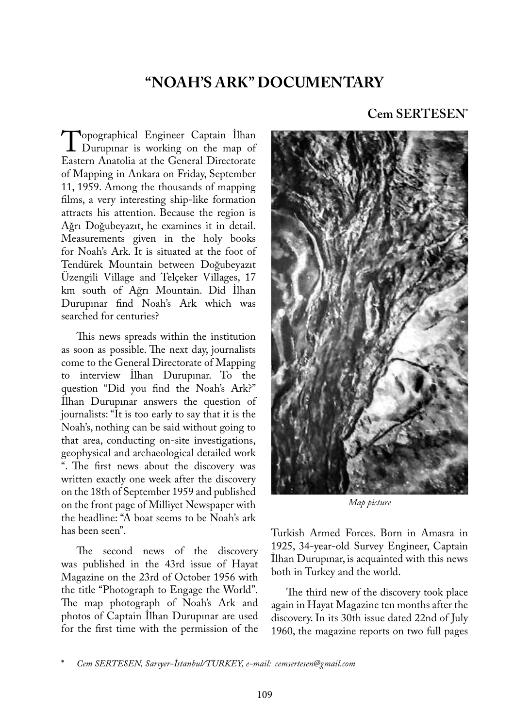# **"NOAH'S ARK" DOCUMENTARY**

Topographical Engineer Captain Ilhan<br>Durupinar is working on the map of<br>Eastern Anatolia at the General Directorate Eastern Anatolia at the General Directorate of Mapping in Ankara on Friday, September 11, 1959. Among the thousands of mapping films, a very interesting ship-like formation attracts his attention. Because the region is Ağrı Doğubeyazıt, he examines it in detail. Measurements given in the holy books for Noah's Ark. It is situated at the foot of Tendürek Mountain between Doğubeyazıt Üzengili Village and Telçeker Villages, 17 km south of Ağrı Mountain. Did İlhan Durupınar find Noah's Ark which was searched for centuries?

This news spreads within the institution as soon as possible. The next day, journalists come to the General Directorate of Mapping to interview İlhan Durupınar. To the question "Did you find the Noah's Ark?" İlhan Durupınar answers the question of journalists: "It is too early to say that it is the Noah's, nothing can be said without going to that area, conducting on-site investigations, geophysical and archaeological detailed work ". The first news about the discovery was written exactly one week after the discovery on the 18th of September 1959 and published on the front page of Milliyet Newspaper with the headline: "A boat seems to be Noah's ark has been seen".

The second news of the discovery was published in the 43rd issue of Hayat Magazine on the 23rd of October 1956 with the title "Photograph to Engage the World". The map photograph of Noah's Ark and photos of Captain İlhan Durupınar are used for the first time with the permission of the

# **Cem SERTESEN**\*



*Map picture*

Turkish Armed Forces. Born in Amasra in 1925, 34-year-old Survey Engineer, Captain İlhan Durupınar, is acquainted with this news both in Turkey and the world.

The third new of the discovery took place again in Hayat Magazine ten months after the discovery. In its 30th issue dated 22nd of July 1960, the magazine reports on two full pages

**<sup>\*</sup>** *Cem SERTESEN, Sarıyer-İstanbul/TURKEY, e-mail: cemsertesen@gmail.com*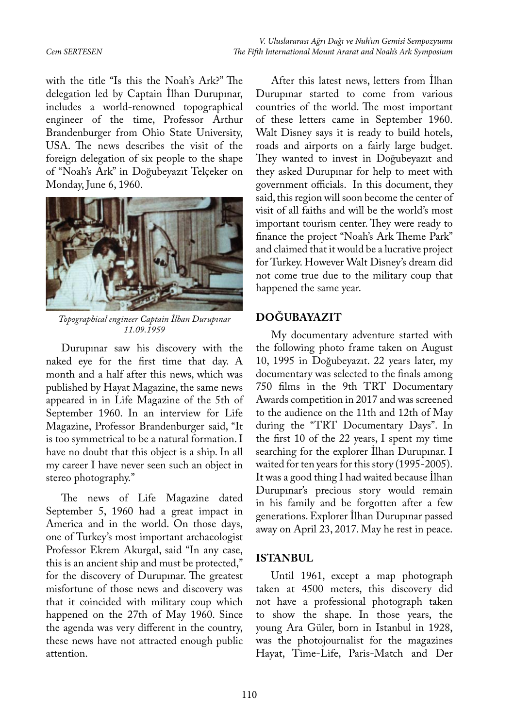with the title "Is this the Noah's Ark?" The delegation led by Captain İlhan Durupınar, includes a world-renowned topographical engineer of the time, Professor Arthur Brandenburger from Ohio State University, USA. The news describes the visit of the foreign delegation of six people to the shape of "Noah's Ark" in Doğubeyazıt Telçeker on Monday, June 6, 1960.



*Topographical engineer Captain İlhan Durupınar 11.09.1959*

Durupınar saw his discovery with the naked eye for the first time that day. A month and a half after this news, which was published by Hayat Magazine, the same news appeared in in Life Magazine of the 5th of September 1960. In an interview for Life Magazine, Professor Brandenburger said, "It is too symmetrical to be a natural formation. I have no doubt that this object is a ship. In all my career I have never seen such an object in stereo photography."

The news of Life Magazine dated September 5, 1960 had a great impact in America and in the world. On those days, one of Turkey's most important archaeologist Professor Ekrem Akurgal, said "In any case, this is an ancient ship and must be protected," for the discovery of Durupınar. The greatest misfortune of those news and discovery was that it coincided with military coup which happened on the 27th of May 1960. Since the agenda was very different in the country, these news have not attracted enough public attention.

After this latest news, letters from İlhan Durupınar started to come from various countries of the world. The most important of these letters came in September 1960. Walt Disney says it is ready to build hotels, roads and airports on a fairly large budget. They wanted to invest in Doğubeyazıt and they asked Durupınar for help to meet with government officials. In this document, they said, this region will soon become the center of visit of all faiths and will be the world's most important tourism center. They were ready to finance the project "Noah's Ark Theme Park" and claimed that it would be a lucrative project for Turkey. However Walt Disney's dream did not come true due to the military coup that happened the same year.

# **DOĞUBAYAZIT**

My documentary adventure started with the following photo frame taken on August 10, 1995 in Doğubeyazıt. 22 years later, my documentary was selected to the finals among 750 films in the 9th TRT Documentary Awards competition in 2017 and was screened to the audience on the 11th and 12th of May during the "TRT Documentary Days". In the first 10 of the 22 years, I spent my time searching for the explorer İlhan Durupınar. I waited for ten years for this story (1995-2005). It was a good thing I had waited because İlhan Durupınar's precious story would remain in his family and be forgotten after a few generations. Explorer İlhan Durupınar passed away on April 23, 2017. May he rest in peace.

# **ISTANBUL**

Until 1961, except a map photograph taken at 4500 meters, this discovery did not have a professional photograph taken to show the shape. In those years, the young Ara Güler, born in Istanbul in 1928, was the photojournalist for the magazines Hayat, Time-Life, Paris-Match and Der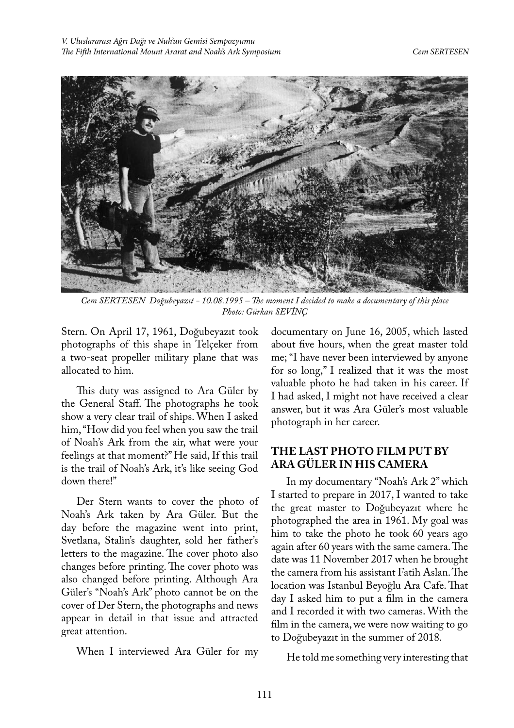

*Cem SERTESEN Doğubeyazıt - 10.08.1995 – The moment I decided to make a documentary of this place Photo: Gürkan SEVİNÇ*

Stern. On April 17, 1961, Doğubeyazıt took photographs of this shape in Telçeker from a two-seat propeller military plane that was allocated to him.

This duty was assigned to Ara Güler by the General Staff. The photographs he took show a very clear trail of ships. When I asked him, "How did you feel when you saw the trail of Noah's Ark from the air, what were your feelings at that moment?" He said, If this trail is the trail of Noah's Ark, it's like seeing God down there!"

Der Stern wants to cover the photo of Noah's Ark taken by Ara Güler. But the day before the magazine went into print, Svetlana, Stalin's daughter, sold her father's letters to the magazine. The cover photo also changes before printing. The cover photo was also changed before printing. Although Ara Güler's "Noah's Ark" photo cannot be on the cover of Der Stern, the photographs and news appear in detail in that issue and attracted great attention.

When I interviewed Ara Güler for my

documentary on June 16, 2005, which lasted about five hours, when the great master told me; "I have never been interviewed by anyone for so long," I realized that it was the most valuable photo he had taken in his career. If I had asked, I might not have received a clear answer, but it was Ara Güler's most valuable photograph in her career.

# **THE LAST PHOTO FILM PUT BY ARA GÜLER IN HIS CAMERA**

In my documentary "Noah's Ark 2" which I started to prepare in 2017, I wanted to take the great master to Doğubeyazıt where he photographed the area in 1961. My goal was him to take the photo he took 60 years ago again after 60 years with the same camera. The date was 11 November 2017 when he brought the camera from his assistant Fatih Aslan. The location was Istanbul Beyoğlu Ara Cafe. That day I asked him to put a film in the camera and I recorded it with two cameras. With the film in the camera, we were now waiting to go to Doğubeyazıt in the summer of 2018.

He told me something very interesting that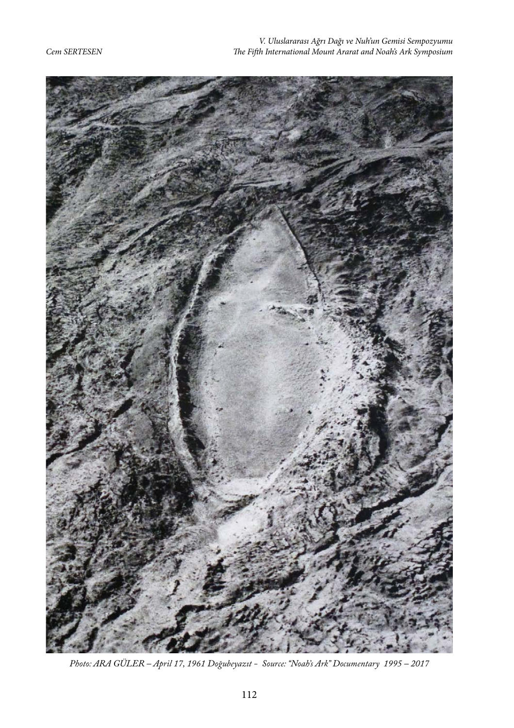

*Photo: ARA GÜLER – April 17, 1961 Doğubeyazıt - Source: "Noah's Ark" Documentary 1995 – 2017*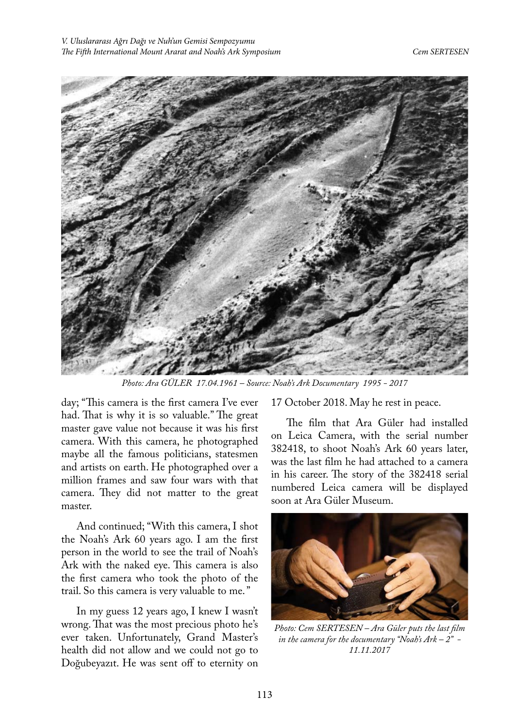

*Photo: Ara GÜLER 17.04.1961 – Source: Noah's Ark Documentary 1995 - 2017*

day; "This camera is the first camera I've ever had. That is why it is so valuable." The great master gave value not because it was his first camera. With this camera, he photographed maybe all the famous politicians, statesmen and artists on earth. He photographed over a million frames and saw four wars with that camera. They did not matter to the great master.

And continued; "With this camera, I shot the Noah's Ark 60 years ago. I am the first person in the world to see the trail of Noah's Ark with the naked eye. This camera is also the first camera who took the photo of the trail. So this camera is very valuable to me. "

In my guess 12 years ago, I knew I wasn't wrong. That was the most precious photo he's ever taken. Unfortunately, Grand Master's health did not allow and we could not go to Doğubeyazıt. He was sent off to eternity on

17 October 2018. May he rest in peace.

The film that Ara Güler had installed on Leica Camera, with the serial number 382418, to shoot Noah's Ark 60 years later, was the last film he had attached to a camera in his career. The story of the 382418 serial numbered Leica camera will be displayed soon at Ara Güler Museum.



*Photo: Cem SERTESEN – Ara Güler puts the last film in the camera for the documentary "Noah's Ark – 2" - 11.11.2017*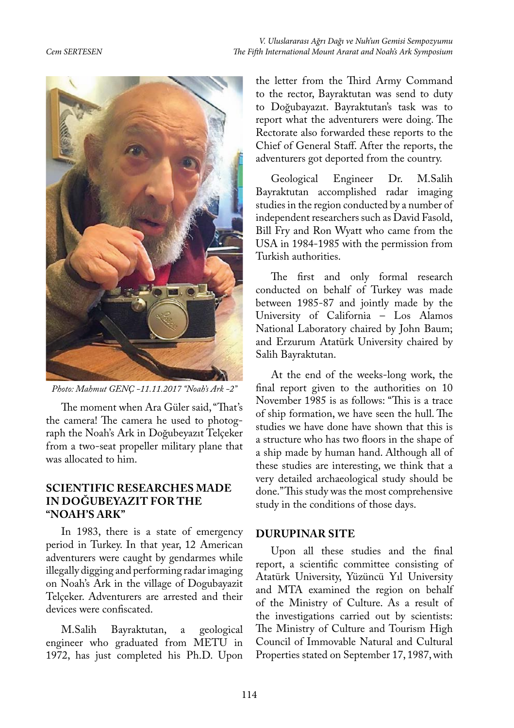

*Photo: Mahmut GENÇ -11.11.2017 "Noah's Ark -2"*

The moment when Ara Güler said, "That's the camera! The camera he used to photograph the Noah's Ark in Doğubeyazıt Telçeker from a two-seat propeller military plane that was allocated to him.

## **SCIENTIFIC RESEARCHES MADE IN DOĞUBEYAZIT FOR THE "NOAH'S ARK"**

In 1983, there is a state of emergency period in Turkey. In that year, 12 American adventurers were caught by gendarmes while illegally digging and performing radar imaging on Noah's Ark in the village of Dogubayazit Telçeker. Adventurers are arrested and their devices were confiscated.

M.Salih Bayraktutan, a geological engineer who graduated from METU in 1972, has just completed his Ph.D. Upon the letter from the Third Army Command to the rector, Bayraktutan was send to duty to Doğubayazıt. Bayraktutan's task was to report what the adventurers were doing. The Rectorate also forwarded these reports to the Chief of General Staff. After the reports, the adventurers got deported from the country.

Geological Engineer Dr. M.Salih Bayraktutan accomplished radar imaging studies in the region conducted by a number of independent researchers such as David Fasold, Bill Fry and Ron Wyatt who came from the USA in 1984-1985 with the permission from Turkish authorities.

The first and only formal research conducted on behalf of Turkey was made between 1985-87 and jointly made by the University of California – Los Alamos National Laboratory chaired by John Baum; and Erzurum Atatürk University chaired by Salih Bayraktutan.

At the end of the weeks-long work, the final report given to the authorities on 10 November 1985 is as follows: "This is a trace of ship formation, we have seen the hull. The studies we have done have shown that this is a structure who has two floors in the shape of a ship made by human hand. Although all of these studies are interesting, we think that a very detailed archaeological study should be done." This study was the most comprehensive study in the conditions of those days.

#### **DURUPINAR SITE**

Upon all these studies and the final report, a scientific committee consisting of Atatürk University, Yüzüncü Yıl University and MTA examined the region on behalf of the Ministry of Culture. As a result of the investigations carried out by scientists: The Ministry of Culture and Tourism High Council of Immovable Natural and Cultural Properties stated on September 17, 1987, with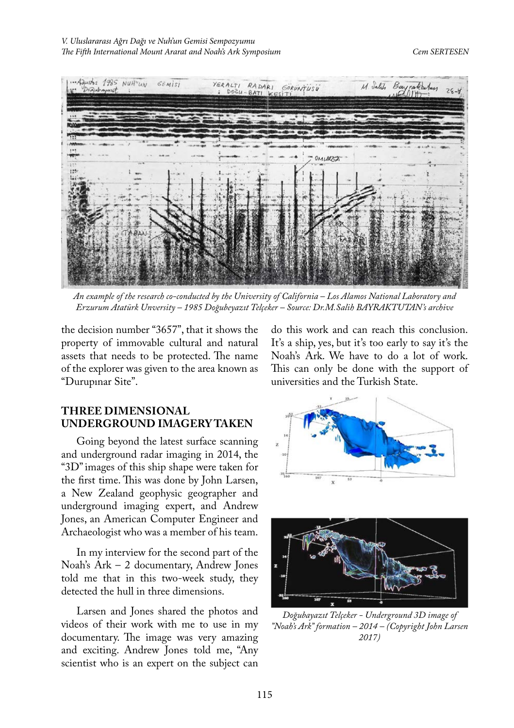

*An example of the research co-conducted by the University of California – Los Alamos National Laboratory and Erzurum Atatürk Unversity – 1985 Doğubeyazıt Telçeker – Source: Dr.M.Salih BAYRAKTUTAN's archive*

the decision number "3657", that it shows the property of immovable cultural and natural assets that needs to be protected. The name of the explorer was given to the area known as "Durupınar Site".

# **THREE DIMENSIONAL UNDERGROUND IMAGERY TAKEN**

Going beyond the latest surface scanning and underground radar imaging in 2014, the "3D" images of this ship shape were taken for the first time. This was done by John Larsen, a New Zealand geophysic geographer and underground imaging expert, and Andrew Jones, an American Computer Engineer and Archaeologist who was a member of his team.

In my interview for the second part of the Noah's Ark – 2 documentary, Andrew Jones told me that in this two-week study, they detected the hull in three dimensions.

Larsen and Jones shared the photos and videos of their work with me to use in my documentary. The image was very amazing and exciting. Andrew Jones told me, "Any scientist who is an expert on the subject can

do this work and can reach this conclusion. It's a ship, yes, but it's too early to say it's the Noah's Ark. We have to do a lot of work. This can only be done with the support of universities and the Turkish State.





*Doğubayazıt Telçeker - Underground 3D image of "Noah's Ark" formation – 2014 – (Copyright John Larsen 2017)*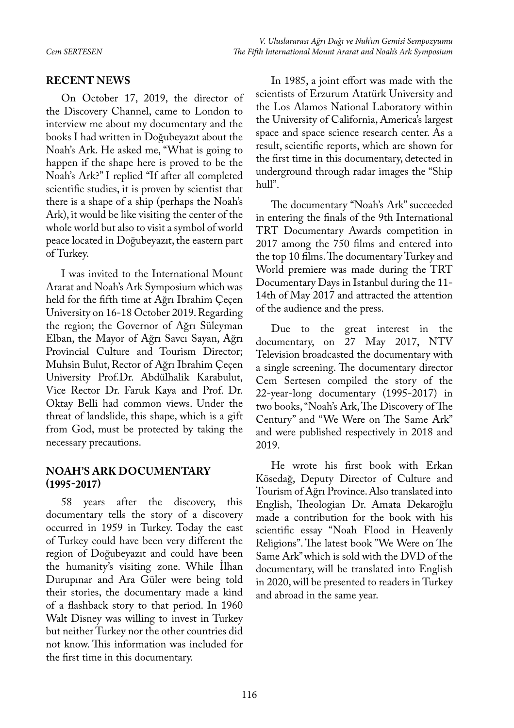### **RECENT NEWS**

On October 17, 2019, the director of the Discovery Channel, came to London to interview me about my documentary and the books I had written in Doğubeyazıt about the Noah's Ark. He asked me, "What is going to happen if the shape here is proved to be the Noah's Ark?" I replied "If after all completed scientific studies, it is proven by scientist that there is a shape of a ship (perhaps the Noah's Ark), it would be like visiting the center of the whole world but also to visit a symbol of world peace located in Doğubeyazıt, the eastern part of Turkey.

I was invited to the International Mount Ararat and Noah's Ark Symposium which was held for the fifth time at Ağrı Ibrahim Çeçen University on 16-18 October 2019. Regarding the region; the Governor of Ağrı Süleyman Elban, the Mayor of Ağrı Savcı Sayan, Ağrı Provincial Culture and Tourism Director; Muhsin Bulut, Rector of Ağrı Ibrahim Çeçen University Prof.Dr. Abdülhalik Karabulut, Vice Rector Dr. Faruk Kaya and Prof. Dr. Oktay Belli had common views. Under the threat of landslide, this shape, which is a gift from God, must be protected by taking the necessary precautions.

## **NOAH'S ARK DOCUMENTARY (1995-2017)**

58 years after the discovery, this documentary tells the story of a discovery occurred in 1959 in Turkey. Today the east of Turkey could have been very different the region of Doğubeyazıt and could have been the humanity's visiting zone. While İlhan Durupınar and Ara Güler were being told their stories, the documentary made a kind of a flashback story to that period. In 1960 Walt Disney was willing to invest in Turkey but neither Turkey nor the other countries did not know. This information was included for the first time in this documentary.

In 1985, a joint effort was made with the scientists of Erzurum Atatürk University and the Los Alamos National Laboratory within the University of California, America's largest space and space science research center. As a result, scientific reports, which are shown for the first time in this documentary, detected in underground through radar images the "Ship hull".

The documentary "Noah's Ark" succeeded in entering the finals of the 9th International TRT Documentary Awards competition in 2017 among the 750 films and entered into the top 10 films. The documentary Turkey and World premiere was made during the TRT Documentary Days in Istanbul during the 11- 14th of May 2017 and attracted the attention of the audience and the press.

Due to the great interest in the documentary, on 27 May 2017, NTV Television broadcasted the documentary with a single screening. The documentary director Cem Sertesen compiled the story of the 22-year-long documentary (1995-2017) in two books, "Noah's Ark, The Discovery of The Century" and "We Were on The Same Ark" and were published respectively in 2018 and 2019.

He wrote his first book with Erkan Kösedağ, Deputy Director of Culture and Tourism of Ağrı Province. Also translated into English, Theologian Dr. Amata Dekaroğlu made a contribution for the book with his scientific essay "Noah Flood in Heavenly Religions". The latest book "We Were on The Same Ark" which is sold with the DVD of the documentary, will be translated into English in 2020, will be presented to readers in Turkey and abroad in the same year.